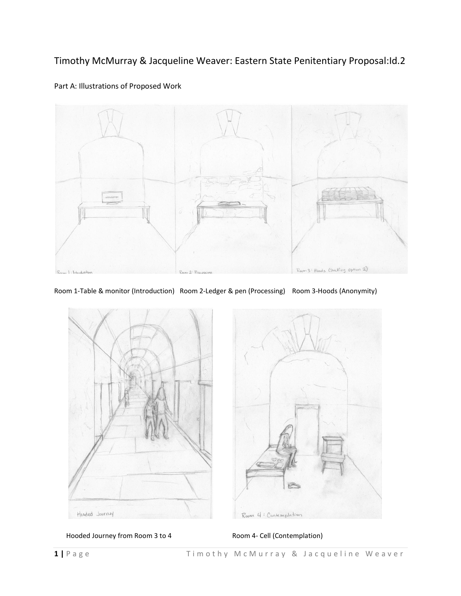Timothy McMurray & Jacqueline Weaver: Eastern State Penitentiary Proposal:Id.2



# Part A: Illustrations of Proposed Work

Room 1-Table & monitor (Introduction) Room 2-Ledger & pen (Processing) Room 3-Hoods (Anonymity)



Hooded Journey from Room 3 to 4 Room 4- Cell (Contemplation)

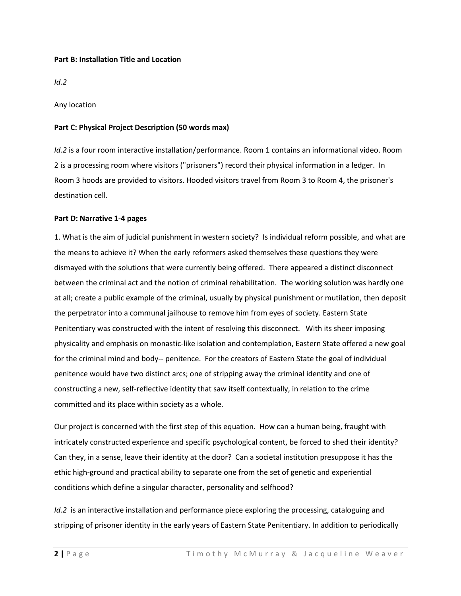### **Part B: Installation Title and Location**

*Id.2*

Any location

## **Part C: Physical Project Description (50 words max)**

*Id.2* is a four room interactive installation/performance. Room 1 contains an informational video. Room 2 is a processing room where visitors ("prisoners") record their physical information in a ledger. In Room 3 hoods are provided to visitors. Hooded visitors travel from Room 3 to Room 4, the prisoner's destination cell.

### **Part D: Narrative 1-4 pages**

1. What is the aim of judicial punishment in western society? Is individual reform possible, and what are the means to achieve it? When the early reformers asked themselves these questions they were dismayed with the solutions that were currently being offered. There appeared a distinct disconnect between the criminal act and the notion of criminal rehabilitation. The working solution was hardly one at all; create a public example of the criminal, usually by physical punishment or mutilation, then deposit the perpetrator into a communal jailhouse to remove him from eyes of society. Eastern State Penitentiary was constructed with the intent of resolving this disconnect. With its sheer imposing physicality and emphasis on monastic-like isolation and contemplation, Eastern State offered a new goal for the criminal mind and body-- penitence. For the creators of Eastern State the goal of individual penitence would have two distinct arcs; one of stripping away the criminal identity and one of constructing a new, self-reflective identity that saw itself contextually, in relation to the crime committed and its place within society as a whole.

Our project is concerned with the first step of this equation. How can a human being, fraught with intricately constructed experience and specific psychological content, be forced to shed their identity? Can they, in a sense, leave their identity at the door? Can a societal institution presuppose it has the ethic high-ground and practical ability to separate one from the set of genetic and experiential conditions which define a singular character, personality and selfhood?

*Id.2* is an interactive installation and performance piece exploring the processing, cataloguing and stripping of prisoner identity in the early years of Eastern State Penitentiary. In addition to periodically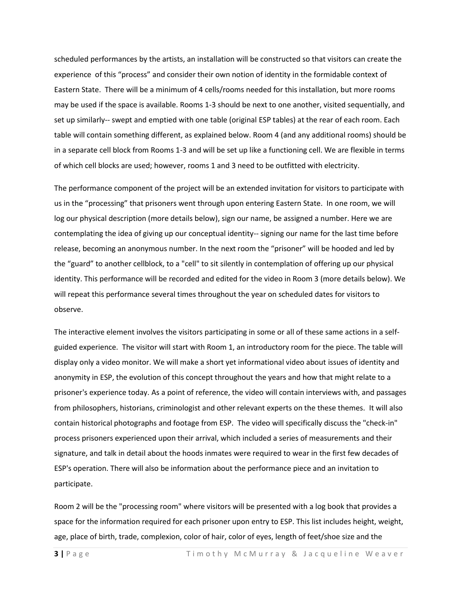scheduled performances by the artists, an installation will be constructed so that visitors can create the experience of this "process" and consider their own notion of identity in the formidable context of Eastern State. There will be a minimum of 4 cells/rooms needed for this installation, but more rooms may be used if the space is available. Rooms 1-3 should be next to one another, visited sequentially, and set up similarly-- swept and emptied with one table (original ESP tables) at the rear of each room. Each table will contain something different, as explained below. Room 4 (and any additional rooms) should be in a separate cell block from Rooms 1-3 and will be set up like a functioning cell. We are flexible in terms of which cell blocks are used; however, rooms 1 and 3 need to be outfitted with electricity.

The performance component of the project will be an extended invitation for visitors to participate with us in the "processing" that prisoners went through upon entering Eastern State. In one room, we will log our physical description (more details below), sign our name, be assigned a number. Here we are contemplating the idea of giving up our conceptual identity-- signing our name for the last time before release, becoming an anonymous number. In the next room the "prisoner" will be hooded and led by the "guard" to another cellblock, to a "cell" to sit silently in contemplation of offering up our physical identity. This performance will be recorded and edited for the video in Room 3 (more details below). We will repeat this performance several times throughout the year on scheduled dates for visitors to observe.

The interactive element involves the visitors participating in some or all of these same actions in a selfguided experience. The visitor will start with Room 1, an introductory room for the piece. The table will display only a video monitor. We will make a short yet informational video about issues of identity and anonymity in ESP, the evolution of this concept throughout the years and how that might relate to a prisoner's experience today. As a point of reference, the video will contain interviews with, and passages from philosophers, historians, criminologist and other relevant experts on the these themes. It will also contain historical photographs and footage from ESP. The video will specifically discuss the "check-in" process prisoners experienced upon their arrival, which included a series of measurements and their signature, and talk in detail about the hoods inmates were required to wear in the first few decades of ESP's operation. There will also be information about the performance piece and an invitation to participate.

Room 2 will be the "processing room" where visitors will be presented with a log book that provides a space for the information required for each prisoner upon entry to ESP. This list includes height, weight, age, place of birth, trade, complexion, color of hair, color of eyes, length of feet/shoe size and the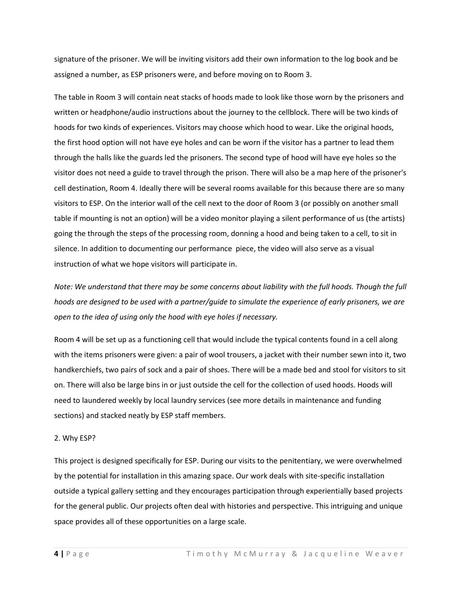signature of the prisoner. We will be inviting visitors add their own information to the log book and be assigned a number, as ESP prisoners were, and before moving on to Room 3.

The table in Room 3 will contain neat stacks of hoods made to look like those worn by the prisoners and written or headphone/audio instructions about the journey to the cellblock. There will be two kinds of hoods for two kinds of experiences. Visitors may choose which hood to wear. Like the original hoods, the first hood option will not have eye holes and can be worn if the visitor has a partner to lead them through the halls like the guards led the prisoners. The second type of hood will have eye holes so the visitor does not need a guide to travel through the prison. There will also be a map here of the prisoner's cell destination, Room 4. Ideally there will be several rooms available for this because there are so many visitors to ESP. On the interior wall of the cell next to the door of Room 3 (or possibly on another small table if mounting is not an option) will be a video monitor playing a silent performance of us (the artists) going the through the steps of the processing room, donning a hood and being taken to a cell, to sit in silence. In addition to documenting our performance piece, the video will also serve as a visual instruction of what we hope visitors will participate in.

*Note: We understand that there may be some concerns about liability with the full hoods. Though the full hoods are designed to be used with a partner/guide to simulate the experience of early prisoners, we are open to the idea of using only the hood with eye holes if necessary.*

Room 4 will be set up as a functioning cell that would include the typical contents found in a cell along with the items prisoners were given: a pair of wool trousers, a jacket with their number sewn into it, two handkerchiefs, two pairs of sock and a pair of shoes. There will be a made bed and stool for visitors to sit on. There will also be large bins in or just outside the cell for the collection of used hoods. Hoods will need to laundered weekly by local laundry services (see more details in maintenance and funding sections) and stacked neatly by ESP staff members.

### 2. Why ESP?

This project is designed specifically for ESP. During our visits to the penitentiary, we were overwhelmed by the potential for installation in this amazing space. Our work deals with site-specific installation outside a typical gallery setting and they encourages participation through experientially based projects for the general public. Our projects often deal with histories and perspective. This intriguing and unique space provides all of these opportunities on a large scale.